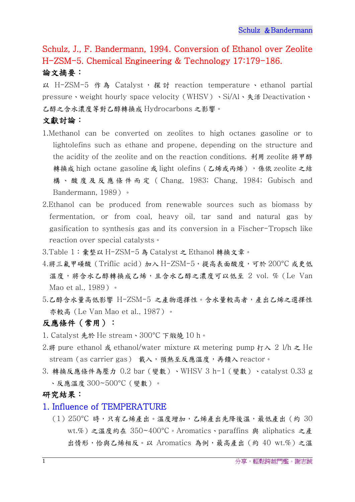# Schulz, J., F. Bandermann, 1994. Conversion of Ethanol over Zeolite H-ZSM-5. Chemical Engineering & Technology 17:179-186. 論文摘要:

以 H-ZSM-5 作為 Catalyst, 探討 reaction temperature、 ethanol partial pressure、weight hourly space velocity (WHSV)、Si/Al、失活 Deactivation、 乙醇之含水濃度等對乙醇轉換成 Hydrocarbons 之影響。

# 文獻討論:

- 1.Methanol can be converted on zeolites to high octanes gasoline or to lightolefins such as ethane and propene, depending on the structure and the acidity of the zeolite and on the reaction conditions. 利用 zeolite 將甲醇 轉換成 high octane gasoline 或 light olefins (乙烯或丙烯),係依 zeolite 之結 構、酸度及反應條件而定( Chang, 1983; Chang, 1984; Gubisch and Bandermann, 1989)。
- 2.Ethanol can be produced from renewable sources such as biomass by fermentation, or from coal, heavy oil, tar sand and natural gas by gasification to synthesis gas and its conversion in a Fischer-Tropsch like reaction over special catalysts。
- 3.Table 1:彙整以 H-ZSM-5 為 Catalyst 之 Ethanol 轉換文章。
- $4.$ 將三氟甲磺酸(Triflic acid)加入 H-ZSM-5,提高表面酸度,可於 200°C 或更低 溫度,將含水乙醇轉換成乙烯,且含水乙醇之濃度可以低至 2 vol. % (Le Van Mao et al., 1989) 。
- 5.乙醇含水量高低影響 H-ZSM-5 之產物選擇性。含水量較高者,產出乙烯之選擇性 亦較高(Le Van Mao et al., 1987)。

# 反應條件(常用):

- 1. Catalyst 先於 He stream、300°C 下煅燒 10 h。
- 2.將 pure ethanol 或 ethanol/water mixture 以 metering pump  $\eta \wedge 2$  l/h  $\geq$  He stream(as carrier gas) 載入,預熱至反應溫度,再饋入 reactor。
- 3. 轉換反應條件為壓力 0.2 bar(變數)、WHSV 3 h-1(變數)、catalyst 0.33 g 、反應溫度 300~500°C(變數)。

## 研究結果:

#### 1. Influence of TEMPERATURE

(1)250°C 時,只有乙烯產出。溫度增加,乙烯產出先降後溫,最低產出(約 30 wt.%)之溫度約在 350~400°C。Aromatics、paraffins 與 aliphatics 之產 出情形,恰與乙烯相反。以 Aromatics 為例,最高產出(約40 wt.%)之溫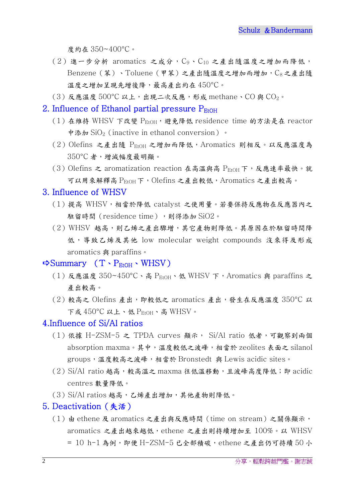度約在 350~400°C。

- $(2)$ 進一步分析 aromatics 之成分, $C_9$ , $C_{10}$ 之產出隨溫度之增加而降低,  $B$ enzene (苯)、Toluene (甲苯)之產出隨溫度之增加而增加, $C_8$ 之產出隨 溫度之增加呈現先增後降,最高產出約在 450°C。
- $(3)$  反應溫度  $500^{\circ}$ C 以上, 出現二次反應, 形成 methane、CO 與 CO<sub>2</sub>。

## 2. Influence of Ethanol partial pressure  $P_{\text{EtoH}}$

- (1) 在維持 WHSV 下改變  $P_{EtOH}$ , 避免降低 residence time 的方法是在 reactor 中添加 SiO<sub>2</sub> (inactive in ethanol conversion)。
- $(2)$  Olefins 之產出隨  $P_{EtOH}$  之增加而降低, Aromatics 則相反。以反應溫度為 350°C 者,增減幅度最明顯。
- (3) Olefins 之 aromatization reaction 在高溫與高 PEtOH 下,反應速率最快。就 可以用來解釋高 PEtOH下, Olefins 之產出較低, Aromatics 之產出較高。

#### 3. Influence of WHSV

- (1)提高 WHSV,相當於降低 catalyst 之使用量。若要保持反應物在反應器內之 駐留時間 (residence time),則得添加 SiO2。
- (2)WHSV 越高,則乙烯之產出驟增,其它產物則降低。其原因在於駐留時間降 低,導致乙烯及其他 low molecular weight compounds 沒來得及形成 aromatics 與 paraffins。

## $\Rightarrow$  Summary  $(T \cdot P_{\text{EtOH}} \cdot \text{WHSV})$

- (1)反應溫度 350~450°C、高 PEtOH、低 WHSV 下,Aromatics 與 paraffins 之 產出較高。
- $(2)$ 較高之 Olefins 產出, 即較低之 aromatics 產出,發生在反應溫度 350°C 以 下或 450°C 以上、低 P<sub>EtOH</sub>、高 WHSV。

#### 4.Influence of Si/Al ratios

- (1)依據 H-ZSM-5 之 TPDA curves 顯示, Si/Al ratio 低者,可觀察到兩個 absorption maxma。其中,溫度較低之波峰,相當於 zeolites 表面之 silanol groups,溫度較高之波峰,相當於 Bronstedt 與 Lewis acidic sites。
- (2)Si/Al ratio 越高,較高溫之 maxma 往低溫移動,且波峰高度降低;即 acidic centres 數量降低。
- (3) Si/Al ratios 越高, 乙烯產出增加, 其他產物則降低。

#### 5. Deactivation(失活)

(1)由 ethene 及 aromatics 之產出與反應時間(time on stream)之關係顯示, aromatics 之產出越來越低,ethene 之產出則持續增加至 100%。以 WHSV  $=$  10 h-1 為例, 即便 H-ZSM-5 已全部積碳, ethene 之產出仍可持續 50 小